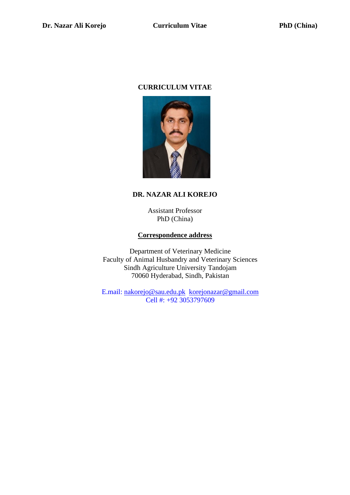#### **CURRICULUM VITAE**



# **DR. NAZAR ALI KOREJO**

Assistant Professor PhD (China)

#### **Correspondence address**

Department of Veterinary Medicine Faculty of Animal Husbandry and Veterinary Sciences Sindh Agriculture University Tandojam 70060 Hyderabad, Sindh, Pakistan

E.mail: [nakorejo@sau.edu.pk](mailto:nakorejo@sau.edu.pk) [korejonazar@gmail.com](mailto:korejonazar@gmail.com) Cell #: +92 3053797609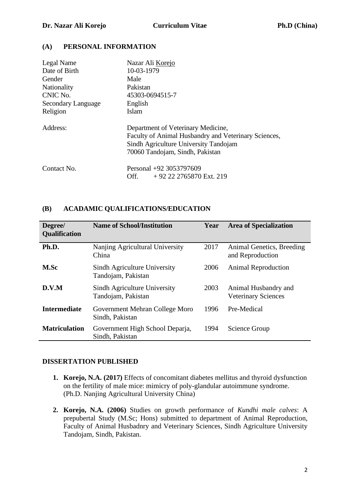## **(A) PERSONAL INFORMATION**

| Legal Name         | Nazar Ali Korejo                                                                                                                                                       |
|--------------------|------------------------------------------------------------------------------------------------------------------------------------------------------------------------|
| Date of Birth      | 10-03-1979                                                                                                                                                             |
| Gender             | Male                                                                                                                                                                   |
| <b>Nationality</b> | Pakistan                                                                                                                                                               |
| CNIC No.           | 45303-0694515-7                                                                                                                                                        |
| Secondary Language | English                                                                                                                                                                |
| Religion           | Islam                                                                                                                                                                  |
| Address:           | Department of Veterinary Medicine,<br>Faculty of Animal Husbandry and Veterinary Sciences,<br>Sindh Agriculture University Tandojam<br>70060 Tandojam, Sindh, Pakistan |
| Contact No.        | Personal +92 3053797609<br>$+92$ 22 2765870 Ext. 219<br>Off.                                                                                                           |

#### **(B) ACADAMIC QUALIFICATIONS/EDUCATION**

| Degree/<br>Qualification | <b>Name of School/Institution</b>                  | Year | <b>Area of Specialization</b>                      |
|--------------------------|----------------------------------------------------|------|----------------------------------------------------|
| Ph.D.                    | Nanjing Agricultural University<br>China           | 2017 | Animal Genetics, Breeding<br>and Reproduction      |
| M.Sc                     | Sindh Agriculture University<br>Tandojam, Pakistan | 2006 | <b>Animal Reproduction</b>                         |
| D.V.M                    | Sindh Agriculture University<br>Tandojam, Pakistan | 2003 | Animal Husbandry and<br><b>Veterinary Sciences</b> |
| <b>Intermediate</b>      | Government Mehran College Moro<br>Sindh, Pakistan  | 1996 | Pre-Medical                                        |
| <b>Matriculation</b>     | Government High School Deparja,<br>Sindh, Pakistan | 1994 | Science Group                                      |

#### **DISSERTATION PUBLISHED**

- **1. Korejo, N.A. (2017)** Effects of concomitant diabetes mellitus and thyroid dysfunction on the fertility of male mice: mimicry of poly-glandular autoimmune syndrome. (Ph.D. Nanjing Agricultural University China)
- **2. Korejo, N.A. (2006)** Studies on growth performance of *Kundhi male calves*: A prepubertal Study (M.Sc; Hons) submitted to department of Animal Reproduction, Faculty of Animal Husbadnry and Veterinary Sciences, Sindh Agriculture University Tandojam, Sindh, Pakistan.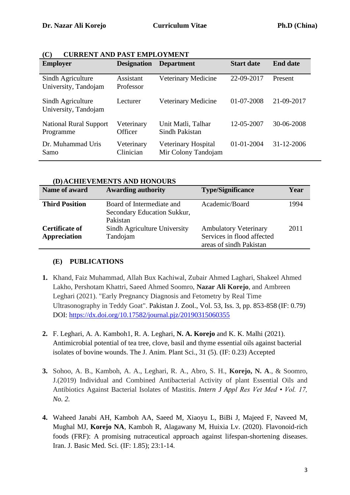| <b>Employer</b>                            | <b>Designation</b>      | <b>Department</b>                          | <b>Start date</b> | <b>End date</b> |
|--------------------------------------------|-------------------------|--------------------------------------------|-------------------|-----------------|
| Sindh Agriculture<br>University, Tandojam  | Assistant<br>Professor  | Veterinary Medicine                        | 22-09-2017        | Present         |
| Sindh Agriculture<br>University, Tandojam  | Lecturer                | Veterinary Medicine                        | 01-07-2008        | 21-09-2017      |
| <b>National Rural Support</b><br>Programme | Veterinary<br>Officer   | Unit Matli, Talhar<br>Sindh Pakistan       | 12-05-2007        | 30-06-2008      |
| Dr. Muhammad Uris<br>Samo                  | Veterinary<br>Clinician | Veterinary Hospital<br>Mir Colony Tandojam | 01-01-2004        | 31-12-2006      |

| (C) | <b>CURRENT AND PAST EMPLOYMENT</b> |  |  |
|-----|------------------------------------|--|--|
|     |                                    |  |  |

| (D)ACHIEVEMENTS AND HONOURS                  |                                                                      |                                                                                       |      |  |
|----------------------------------------------|----------------------------------------------------------------------|---------------------------------------------------------------------------------------|------|--|
| Name of award                                | <b>Awarding authority</b>                                            | <b>Type/Significance</b>                                                              | Year |  |
| <b>Third Position</b>                        | Board of Intermediate and<br>Secondary Education Sukkur,<br>Pakistan | Academic/Board                                                                        | 1994 |  |
| <b>Certificate of</b><br><b>Appreciation</b> | Sindh Agriculture University<br>Tandojam                             | <b>Ambulatory Veterinary</b><br>Services in flood affected<br>areas of sindh Pakistan | 2011 |  |

**(D)ACHIEVEMENTS AND HONOURS**

## **(E) PUBLICATIONS**

- **1.** Khand, Faiz Muhammad, Allah Bux Kachiwal, Zubair Ahmed Laghari, Shakeel Ahmed Lakho, Pershotam Khattri, Saeed Ahmed Soomro, **Nazar Ali Korejo**, and Ambreen Leghari (2021). "Early Pregnancy Diagnosis and Fetometry by Real Time Ultrasonography in Teddy Goat". Pakistan J. Zool., Vol. 53, Iss. 3, pp. 853-858 (IF: 0.79) DOI:<https://dx.doi.org/10.17582/journal.pjz/20190315060355>
- **2.** F. Leghari, A. A. Kamboh1, R. A. Leghari, **N. A. Korejo** and K. K. Malhi (2021). Antimicrobial potential of tea tree, clove, basil and thyme essential oils against bacterial isolates of bovine wounds. The J. Anim. Plant Sci., 31 (5). (IF: 0.23) Accepted
- **3.** Sohoo, A. B., Kamboh, A. A., Leghari, R. A., Abro, S. H., **Korejo, N. A**., & Soomro, J.(2019) Individual and Combined Antibacterial Activity of plant Essential Oils and Antibiotics Against Bacterial Isolates of Mastitis. *Intern J Appl Res Vet Med • Vol. 17, No. 2.*
- **4.** Waheed Janabi AH, Kamboh AA, Saeed M, Xiaoyu L, BiBi J, Majeed F, Naveed M, Mughal MJ, **Korejo NA**, Kamboh R, Alagawany M, Huixia Lv. (2020). Flavonoid-rich foods (FRF): A promising nutraceutical approach against lifespan-shortening diseases. Iran. J. Basic Med. Sci. (IF: 1.85); 23:1-14.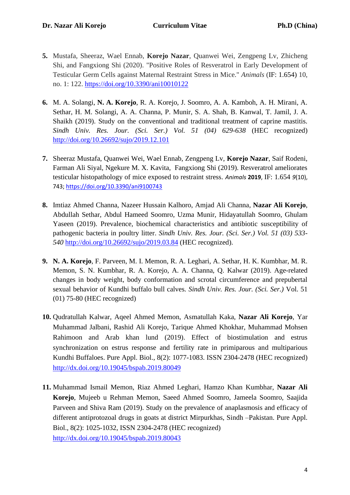- **5.** Mustafa, Sheeraz, Wael Ennab, **Korejo Nazar**, Quanwei Wei, Zengpeng Lv, Zhicheng Shi, and Fangxiong Shi (2020). "Positive Roles of Resveratrol in Early Development of Testicular Germ Cells against Maternal Restraint Stress in Mice." *Animals* (IF: 1.654) 10, no. 1: 122. <https://doi.org/10.3390/ani10010122>
- **6.** M. A. Solangi, **N. A. Korejo**, R. A. Korejo, J. Soomro, A. A. Kamboh, A. H. Mirani, A. Sethar, H. M. Solangi, A. A. Channa, P. Munir, S. A. Shah, B. Kanwal, T. Jamil, J. A. Shaikh (2019). Study on the conventional and traditional treatment of caprine mastitis*. Sindh Univ. Res. Jour. (Sci. Ser.) Vol. 51 (04) 629-638* (HEC recognized) <http://doi.org/10.26692/sujo/2019.12.101>
- **7.** Sheeraz Mustafa, Quanwei Wei, Wael Ennab, Zengpeng Lv, **Korejo Nazar**, Saif Rodeni, Farman Ali Siyal, Ngekure M. X. Kavita, Fangxiong Shi (2019). Resveratrol ameliorates testicular histopathology of mice exposed to restraint stress. *Animals* **2019**, IF: 1.654 *9*(10), 743;<https://doi.org/10.3390/ani9100743>
- **8.** Imtiaz Ahmed Channa, Nazeer Hussain Kalhoro, Amjad Ali Channa, **Nazar Ali Korejo**, Abdullah Sethar, Abdul Hameed Soomro, Uzma Munir, Hidayatullah Soomro, Ghulam Yaseen (2019). Prevalence, biochemical characteristics and antibiotic susceptibility of pathogenic bacteria in poultry litter. *Sindh Univ. Res. Jour. (Sci. Ser.) Vol. 51 (03) 533- 540* <http://doi.org/10.26692/sujo/2019.03.84> (HEC recognized).
- **9. N. A. Korejo**, F. Parveen, M. I. Memon, R. A. Leghari, A. Sethar, H. K. Kumbhar, M. R. Memon, S. N. Kumbhar, R. A. Korejo, A. A. Channa, Q. Kalwar (2019). Age-related changes in body weight, body conformation and scrotal circumference and prepubertal sexual behavior of Kundhi buffalo bull calves*. Sindh Univ. Res. Jour. (Sci. Ser.)* Vol. 51 (01) 75-80 (HEC recognized)
- **10.** Qudratullah Kalwar, Aqeel Ahmed Memon, Asmatullah Kaka, **Nazar Ali Korejo**, Yar Muhammad Jalbani, Rashid Ali Korejo, Tarique Ahmed Khokhar, Muhammad Mohsen Rahimoon and Arab khan lund (2019). Effect of biostimulation and estrus synchronization on estrus response and fertility rate in primiparous and multiparious Kundhi Buffaloes. Pure Appl. Biol., 8(2): 1077-1083. ISSN 2304-2478 (HEC recognized) <http://dx.doi.org/10.19045/bspab.2019.80049>
- **11.** Muhammad Ismail Memon, Riaz Ahmed Leghari, Hamzo Khan Kumbhar, **Nazar Ali Korejo**, Mujeeb u Rehman Memon, Saeed Ahmed Soomro, Jameela Soomro, Saajida Parveen and Shiva Ram (2019). Study on the prevalence of anaplasmosis and efficacy of different antiprotozoal drugs in goats at district Mirpurkhas, Sindh –Pakistan. Pure Appl. Biol., 8(2): 1025-1032, ISSN 2304-2478 (HEC recognized) <http://dx.doi.org/10.19045/bspab.2019.80043>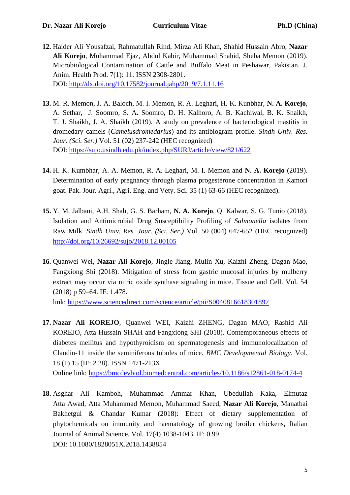- **12.** Haider Ali Yousafzai, Rahmatullah Rind, Mirza Ali Khan, Shahid Hussain Abro, **Nazar Ali Korejo**, Muhammad Ejaz, Abdul Kabir, Muhammad Shahid, Sheba Memon (2019). Microbiological Contamination of Cattle and Buffalo Meat in Peshawar, Pakistan. J. Anim. Health Prod. 7(1): 11. ISSN 2308-2801. DOI:<http://dx.doi.org/10.17582/journal.jahp/2019/7.1.11.16>
- **13.** M. R. Memon, J. A. Baloch, M. I. Memon, R. A. Leghari, H. K. Kunbhar, **N. A. Korejo**, A. Sethar, J. Soomro, S. A. Soomro, D. H. Kalhoro, A. B. Kachiwal, B. K. Shaikh, T. J. Shaikh, J. A. Shaikh (2019). A study on prevalence of bacteriological mastitis in dromedary camels (*Camelusdromedarius*) and its antibiogram profile. *Sindh Univ. Res. Jour. (Sci. Ser.)* Vol. 51 (02) 237-242 (HEC recognized) DOI: <https://sujo.usindh.edu.pk/index.php/SURJ/article/view/821/622>
- **14.** H. K. Kumbhar, A. A. Memon, R. A. Leghari, M. I. Memon and **N. A. Korejo** (2019). Determination of early pregnancy through plasma progesterone concentration in Kamori goat. Pak. Jour. Agri., Agri. Eng. and Vety. Sci. 35 (1) 63-66 (HEC recognized).
- **15.** Y. M. Jalbani, A.H. Shah, G. S. Barham, **N. A. Korejo**, Q. Kalwar, S. G. Tunio (2018). Isolation and Antimicrobial Drug Susceptibility Profiling of *Salmonella* isolates from Raw Milk. *Sindh Univ. Res. Jour. (Sci. Ser.)* Vol. 50 (004) 647-652 (HEC recognized) <http://doi.org/10.26692/sujo/2018.12.00105>
- **16.** Quanwei Wei, **Nazar Ali Korejo**, Jingle Jiang, Mulin Xu, Kaizhi Zheng, Dagan Mao, Fangxiong Shi (2018). Mitigation of stress from gastric mucosal injuries by mulberry extract may occur via nitric oxide synthase signaling in mice. Tissue and Cell. Vol. 54 (2018) p 59–64. IF: 1.478.

link: <https://www.sciencedirect.com/science/article/pii/S0040816618301897>

**17. Nazar Ali KOREJO**, Quanwei WEI, Kaizhi ZHENG, Dagan MAO, Rashid Ali KOREJO, Atta Hussain SHAH and Fangxiong SHI (2018). Contemporaneous effects of diabetes mellitus and hypothyroidism on spermatogenesis and immunolocalization of Claudin-11 inside the seminiferous tubules of mice. *BMC Developmental Biology*. Vol. 18 (1) 15 (IF: 2.28). ISSN 1471-213X.

Online link:<https://bmcdevbiol.biomedcentral.com/articles/10.1186/s12861-018-0174-4>

**18.** Asghar Ali Kamboh, Muhammad Ammar Khan, Ubedullah Kaka, Elmutaz Atta Awad, Atta Muhammad Memon, Muhammad Saeed, **Nazar Ali Korejo**, Manatbai Bakhetgul & Chandar Kumar (2018): Effect of dietary supplementation of phytochemicals on immunity and haematology of growing broiler chickens, Italian Journal of Animal Science, Vol. 17(4) 1038-1043. IF: 0.99 DOI: 10.1080/1828051X.2018.1438854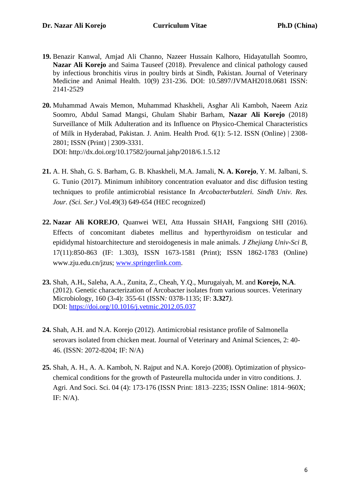- **19.** Benazir Kanwal, Amjad Ali Channo, Nazeer Hussain Kalhoro, Hidayatullah Soomro, **Nazar Ali Korejo** and Saima Tauseef (2018). Prevalence and clinical pathology caused by infectious bronchitis virus in poultry birds at Sindh, Pakistan. Journal of Veterinary Medicine and Animal Health. 10(9) 231-236. DOI: 10.5897/JVMAH2018.0681 ISSN: 2141-2529
- **20.** Muhammad Awais Memon, Muhammad Khaskheli, Asghar Ali Kamboh, Naeem Aziz Soomro, Abdul Samad Mangsi, Ghulam Shabir Barham, **Nazar Ali Korejo** (2018) Surveillance of Milk Adulteration and its Influence on Physico-Chemical Characteristics of Milk in Hyderabad, Pakistan. J. Anim. Health Prod. 6(1): 5-12. ISSN (Online) | 2308- 2801; ISSN (Print) | 2309-3331. DOI: http://dx.doi.org/10.17582/journal.jahp/2018/6.1.5.12
- **21.** A. H. Shah, G. S. Barham, G. B. Khaskheli, M.A. Jamali, **N. A. Korejo**, Y. M. Jalbani, S. G. Tunio (2017). Minimum inhibitory concentration evaluator and disc diffusion testing techniques to profile antimicrobial resistance In *Arcobacterbutzleri. Sindh Univ. Res. Jour. (Sci. Ser.)* Vol.49(3) 649-654 (HEC recognized)
- **22. Nazar Ali KOREJO**, Quanwei WEI, Atta Hussain SHAH, Fangxiong SHI (2016). Effects of concomitant diabetes mellitus and hyperthyroidism on testicular and epididymal histoarchitecture and steroidogenesis in male animals. *J Zhejiang Univ-Sci B*, 17(11):850-863 (IF: 1.303), ISSN 1673-1581 (Print); ISSN 1862-1783 (Online) www.zju.edu.cn/jzus; [www.springerlink.com.](http://www.springerlink.com/)
- **23.** Shah, A.H**.**, Saleha, A.A., Zunita, Z., Cheah, Y.Q., Murugaiyah, M. and **Korejo, N.A**. (2012). Genetic characterization of Arcobacter isolates from various sources. Veterinary Microbiology, 160 (3-4): 355-61 (ISSN*:* 0378-1135; IF: **3.327***).* DOI: <https://doi.org/10.1016/j.vetmic.2012.05.037>
- **24.** Shah, A.H. and N.A. Korejo (2012). Antimicrobial resistance profile of Salmonella serovars isolated from chicken meat. Journal of Veterinary and Animal Sciences, 2: 40- 46. (ISSN: 2072-8204; IF: N/A)
- **25.** Shah, A. H., A. A. Kamboh, N. Rajput and N.A. Korejo (2008). Optimization of physicochemical conditions for the growth of Pasteurella multocida under in vitro conditions. J. Agri. And Soci. Sci. 04 (4): 173-176 (ISSN Print: 1813–2235; ISSN Online: 1814–960X; IF: N/A).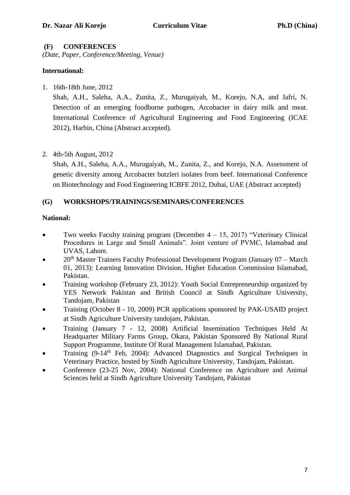### **(F) CONFERENCES**

*(Date, Paper, Conference/Meeting, Venue)*

## **International:**

1. 16th-18th June, 2012

Shah, A.H., Saleha, A.A., Zunita, Z., Murugaiyah, M., Korejo, N.A, and Jafri, N. Detection of an emerging foodborne pathogen, Arcobacter in dairy milk and meat. International Conference of Agricultural Engineering and Food Engineering (ICAE 2012), Harbin, China (Abstract accepted).

2. 4th-5th August, 2012

Shah, A.H., Saleha, A.A., Murugaiyah, M., Zunita, Z., and Korejo, N.A. Assessment of genetic diversity among Arcobacter butzleri isolates from beef. International Conference on Biotechnology and Food Engineering ICBFE 2012, Dubai, UAE (Abstract accepted)

## **(G) WORKSHOPS/TRAININGS/SEMINARS/CONFERENCES**

### **National:**

- Two weeks Faculty training program (December  $4 15$ , 2017) "Veterinary Clinical Procedures in Large and Small Animals". Joint venture of PVMC, Islamabad and UVAS, Lahore.
- $20<sup>th</sup>$  Master Trainers Faculty Professional Development Program (January 07 March 01, 2013): Learning Innovation Division, Higher Education Commission Islamabad, Pakistan.
- Training workshop (February 23, 2012): Youth Social Entrepreneurship organized by YES Network Pakistan and British Council at Sindh Agriculture University, Tandojam, Pakistan
- Training (October 8 10, 2009) PCR applications sponsored by PAK-USAID project at Sindh Agriculture University tandojam, Pakistan.
- Training (January 7 12, 2008) Artificial Insemination Techniques Held At Headquarter Military Farms Group, Okara, Pakistan Sponsored By National Rural Support Programme, Institute Of Rural Management Islamabad, Pakistan.
- Training (9-14th Feb, 2004): Advanced Diagnostics and Surgical Techniques in Veterinary Practice, hosted by Sindh Agriculture University, Tandojam, Pakistan.
- Conference (23-25 Nov, 2004): National Conference on Agriculture and Animal Sciences held at Sindh Agriculture University Tandojam, Pakistan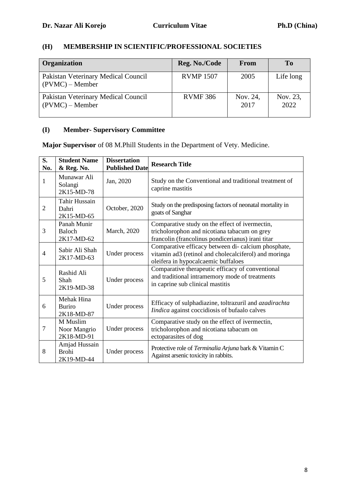# **(H) MEMBERSHIP IN SCIENTIFIC/PROFESSIONAL SOCIETIES**

| Organization                                             | Reg. No./Code    | From             | T <sub>0</sub>   |
|----------------------------------------------------------|------------------|------------------|------------------|
| Pakistan Veterinary Medical Council<br>$(PVMC)$ – Member | <b>RVMP 1507</b> | 2005             | Life long        |
| Pakistan Veterinary Medical Council<br>$(PVMC)$ – Member | <b>RVMF386</b>   | Nov. 24,<br>2017 | Nov. 23,<br>2022 |

# **(I) Member- Supervisory Committee**

**Major Supervisor** of 08 M.Phill Students in the Department of Vety. Medicine.

| S.<br>No.      | <b>Student Name</b><br>& Reg. No.           | <b>Dissertation</b><br><b>Published Date</b> | <b>Research Title</b>                                                                                                                               |
|----------------|---------------------------------------------|----------------------------------------------|-----------------------------------------------------------------------------------------------------------------------------------------------------|
| 1              | Munawar Ali<br>Solangi<br>2K15-MD-78        | Jan, 2020                                    | Study on the Conventional and traditional treatment of<br>caprine mastitis                                                                          |
| $\overline{2}$ | Tahir Hussain<br>Dahri<br>2K15-MD-65        | October, 2020                                | Study on the predisposing factors of neonatal mortality in<br>goats of Sanghar                                                                      |
| 3              | Panah Munir<br><b>Baloch</b><br>2K17-MD-62  | March, 2020                                  | Comparative study on the effect of ivermectin,<br>tricholorophon and nicotiana tabacum on grey<br>francolin (francolinus pondicerianus) irani titar |
| $\overline{4}$ | Sabir Ali Shah<br>2K17-MD-63                | Under process                                | Comparative efficacy between di- calcium phosphate,<br>vitamin ad3 (retinol and cholecalciferol) and moringa<br>oleifera in hypocalcaemic buffaloes |
| 5              | Rashid Ali<br>Shah<br>2K19-MD-38            | Under process                                | Comparative therapeutic efficacy of conventional<br>and traditional intramemory mode of treatments<br>in caprine sub clinical mastitis              |
| 6              | Mehak Hina<br><b>Buriro</b><br>2K18-MD-87   | Under process                                | Efficacy of sulphadiazine, toltrazuril and azadirachta<br>Iindica against coccidiosis of bufaalo calves                                             |
| $\overline{7}$ | M Muslim<br>Noor Mangrio<br>2K18-MD-91      | Under process                                | Comparative study on the effect of ivermectin,<br>tricholorophon and nicotiana tabacum on<br>ectoparasites of dog                                   |
| 8              | Amjad Hussain<br><b>Brohi</b><br>2K19-MD-44 | Under process                                | Protective role of Terminalia Arjuna bark & Vitamin C<br>Against arsenic toxicity in rabbits.                                                       |